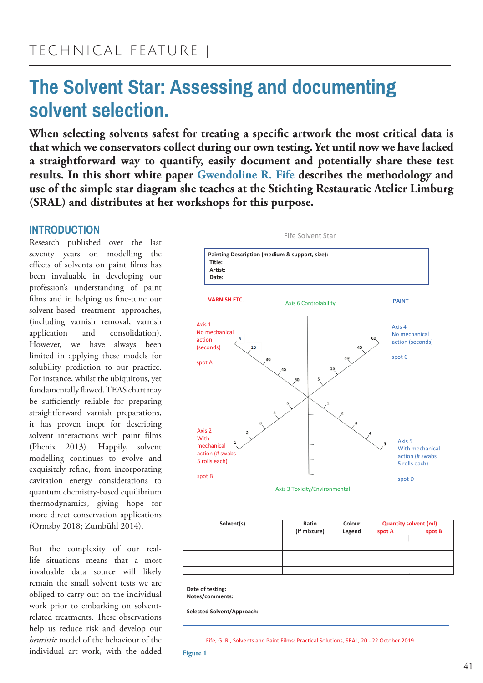# **The Solvent Star: Assessing and documenting**  solvent selection.

**When selecting solvents safest for treating a specific artwork the most critical data is that which we conservators collect during our own testing. Yet until now we have lacked a straightforward way to quantify, easily document and potentially share these test results. In this short white paper Gwendoline R. Fife describes the methodology and use of the simple star diagram she teaches at the Stichting Restauratie Atelier Limburg (SRAL) and distributes at her workshops for this purpose.**

# **INTRODUCTION**

Research published over the last seventy years on modelling the effects of solvents on paint films has been invaluable in developing our profession's understanding of paint films and in helping us fine-tune our solvent-based treatment approaches, (including varnish removal, varnish application and consolidation). However, we have always been limited in applying these models for solubility prediction to our practice. For instance, whilst the ubiquitous, yet fundamentally flawed, TEAS chart may be sufficiently reliable for preparing straightforward varnish preparations, it has proven inept for describing solvent interactions with paint films (Phenix 2013). Happily, solvent modelling continues to evolve and exquisitely refine, from incorporating cavitation energy considerations to quantum chemistry-based equilibrium thermodynamics, giving hope for more direct conservation applications (Ormsby 2018; Zumbühl 2014).

But the complexity of our reallife situations means that a most invaluable data source will likely remain the small solvent tests we are obliged to carry out on the individual work prior to embarking on solventrelated treatments. These observations help us reduce risk and develop our *heuristic* model of the behaviour of the individual art work, with the added



| (if mixture) | Colour<br>Legend | <b>Quantity solvent (ml)</b><br>spot B<br>spot A |  |
|--------------|------------------|--------------------------------------------------|--|
|              |                  |                                                  |  |
|              |                  |                                                  |  |
|              |                  |                                                  |  |
|              |                  |                                                  |  |
|              |                  |                                                  |  |
|              |                  |                                                  |  |

**Date of testing: Notes/comments:** 

**Selected Solvent/Approach:**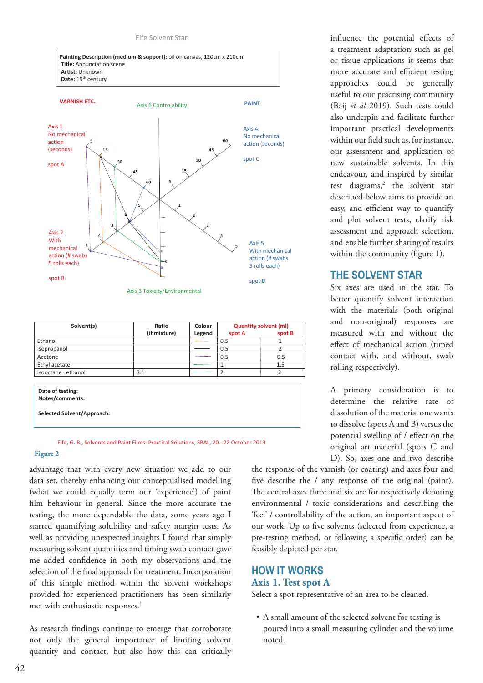



| Solvent(s)          | Ratio        | Colour | <b>Quantity solvent (ml)</b> |        |
|---------------------|--------------|--------|------------------------------|--------|
|                     | (if mixture) | Legend | spot A                       | spot B |
| Ethanol             |              |        | 0.5                          |        |
| Isopropanol         |              |        | 0.5                          | 2      |
| Acetone             |              |        | 0.5                          | 0.5    |
| Ethyl acetate       |              |        |                              | 1.5    |
| Isooctane : ethanol | 3:1          |        | $\overline{2}$               | 2      |
|                     |              |        |                              |        |
| Date of testing:    |              |        |                              |        |
| Notes/comments:     |              |        |                              |        |

**Selected Solvent/Approach:** 

#### Fife, G. R., Solvents and Paint Films: Practical Solutions, SRAL, 20 - 22 October 2019

### **Figure 2**

advantage that with every new situation we add to our data set, thereby enhancing our conceptualised modelling (what we could equally term our 'experience') of paint film behaviour in general. Since the more accurate the testing, the more dependable the data, some years ago I started quantifying solubility and safety margin tests. As well as providing unexpected insights I found that simply measuring solvent quantities and timing swab contact gave me added confidence in both my observations and the selection of the final approach for treatment. Incorporation of this simple method within the solvent workshops provided for experienced practitioners has been similarly met with enthusiastic responses.<sup>1</sup>

As research findings continue to emerge that corroborate not only the general importance of limiting solvent quantity and contact, but also how this can critically

influence the potential effects of a treatment adaptation such as gel or tissue applications it seems that more accurate and efficient testing approaches could be generally useful to our practising community (Baij *et al* 2019). Such tests could also underpin and facilitate further important practical developments within our field such as, for instance, our assessment and application of new sustainable solvents. In this endeavour, and inspired by similar test diagrams,<sup>2</sup> the solvent star described below aims to provide an easy, and efficient way to quantify and plot solvent tests, clarify risk assessment and approach selection, and enable further sharing of results within the community (figure 1).

### **THE SOLVENT STAR**

Six axes are used in the star. To better quantify solvent interaction with the materials (both original and non-original) responses are measured with and without the effect of mechanical action (timed contact with, and without, swab rolling respectively).

A primary consideration is to determine the relative rate of dissolution of the material one wants to dissolve (spots A and B) versus the potential swelling of / effect on the original art material (spots C and D). So, axes one and two describe

the response of the varnish (or coating) and axes four and five describe the / any response of the original (paint). The central axes three and six are for respectively denoting environmental / toxic considerations and describing the 'feel' / controllability of the action, an important aspect of our work. Up to five solvents (selected from experience, a pre-testing method, or following a specific order) can be feasibly depicted per star.

### **HOW IT WORKS Axis 1. Test spot A**

Select a spot representative of an area to be cleaned.

• A small amount of the selected solvent for testing is poured into a small measuring cylinder and the volume noted.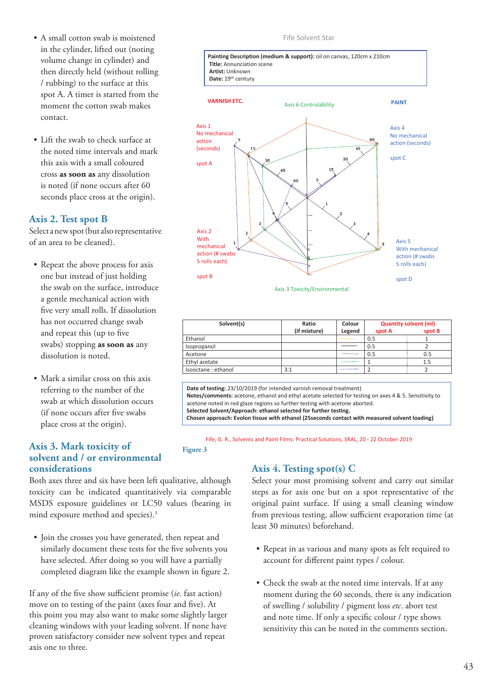- A small cotton swab is moistened in the cylinder, lifted out (noting volume change in cylinder) and then directly held (without rolling / rubbing) to the surface at this spot A. A timer is started from the moment the cotton swab makes contact.
- Lift the swab to check surface at the noted time intervals and mark this axis with a small coloured cross **as soon as** any dissolution is noted (if none occurs after 60 seconds place cross at the origin).

### **Axis 2. Test spot B**

Select a new spot (but also representative of an area to be cleaned).

- Repeat the above process for axis one but instead of just holding the swab on the surface, introduce a gentle mechanical action with five very small rolls. If dissolution has not occurred change swab and repeat this (up to five swabs) stopping **as soon as** any dissolution is noted.
- Mark a similar cross on this axis referring to the number of the swab at which dissolution occurs (if none occurs after five swabs place cross at the origin).

### **Axis 3. Mark toxicity of solvent and / or environmental considerations**

Both axes three and six have been left qualitative, although toxicity can be indicated quantitatively via comparable MSDS exposure guidelines or LC50 values (bearing in mind exposure method and species).3

**Figure 3**

• Join the crosses you have generated, then repeat and similarly document these tests for the five solvents you have selected. After doing so you will have a partially completed diagram like the example shown in figure 2.

If any of the five show sufficient promise (*ie.* fast action) move on to testing of the paint (axes four and five). At this point you may also want to make some slightly larger cleaning windows with your leading solvent. If none have proven satisfactory consider new solvent types and repeat axis one to three.

### Fife Solvent Star



Axis 3 Toxicity/Environmental

| Solvent(s)         | Ratio        | Colour | <b>Quantity solvent (ml)</b> |        |
|--------------------|--------------|--------|------------------------------|--------|
|                    | (if mixture) | Legend | spot A                       | spot B |
| Ethanol            |              |        | 0.5                          |        |
| Isopropanol        |              |        | 0.5                          |        |
| Acetone            |              |        | 0.5                          | 0.5    |
| Ethyl acetate      |              |        |                              | 1.5    |
| Isooctane: ethanol | 3:1          |        |                              |        |

**Date of testing:** 23/10/2019 (for intended varnish removal treatment) **Notes/comments:** acetone, ethanol and ethyl acetate selected for testing on axes 4 & 5. Sensitivity to acetone noted in red glaze regions so further testing with acetone aborted. **Selected Solvent/Approach: ethanol selected for further testing.** 

**Chosen approach: Evolon tissue with ethanol (25seconds contact with measured solvent loading)** 

Fife, G. R., Solvents and Paint Films: Practical Solutions, SRAL, 20 - 22 October 2019

# **Axis 4. Testing spot(s) C**

Select your most promising solvent and carry out similar steps as for axis one but on a spot representative of the original paint surface. If using a small cleaning window from previous testing, allow sufficient evaporation time (at least 30 minutes) beforehand.

- Repeat in as various and many spots as felt required to account for different paint types / colour.
- Check the swab at the noted time intervals. If at any moment during the 60 seconds, there is any indication of swelling / solubility / pigment loss *etc*. abort test and note time. If only a specific colour / type shows sensitivity this can be noted in the comments section.